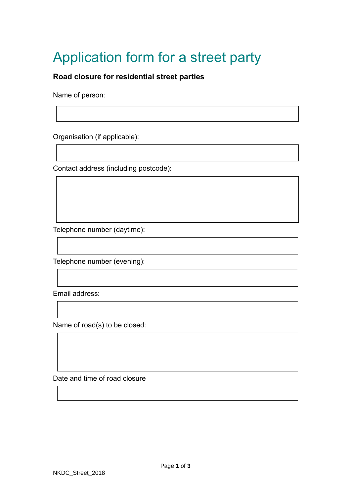## Application form for a street party

## **Road closure for residential street parties**

Name of person:

Organisation (if applicable):

Contact address (including postcode):

Telephone number (daytime):

Telephone number (evening):

Email address:

Name of road(s) to be closed:

Date and time of road closure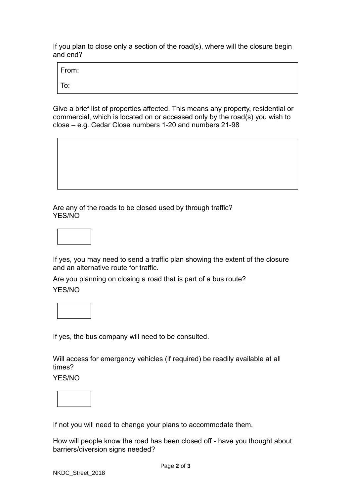If you plan to close only a section of the road(s), where will the closure begin and end?

From:

To:

Give a brief list of properties affected. This means any property, residential or commercial, which is located on or accessed only by the road(s) you wish to close *–* e.g. Cedar Close numbers 1-20 and numbers 21-98

Are any of the roads to be closed used by through traffic? YES/NO



If yes, you may need to send a traffic plan showing the extent of the closure and an alternative route for traffic.

Are you planning on closing a road that is part of a bus route? YES/NO

If yes, the bus company will need to be consulted.

Will access for emergency vehicles (if required) be readily available at all times?

YES/NO



If not you will need to change your plans to accommodate them.

How will people know the road has been closed off - have you thought about barriers/diversion signs needed?